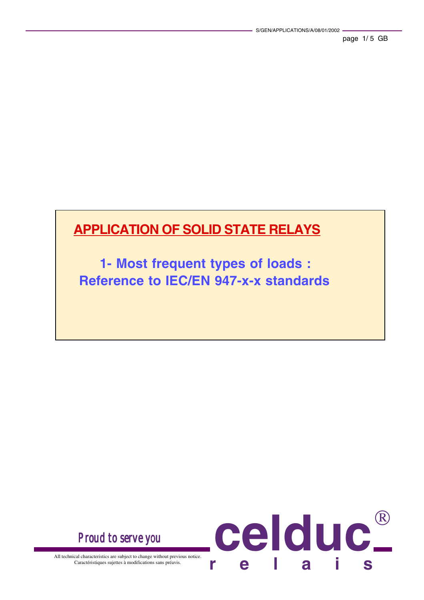## **APPLICATION OF SOLID STATE RELAYS**

**1- Most frequent types of loads : Reference to IEC/EN 947-x-x standards**

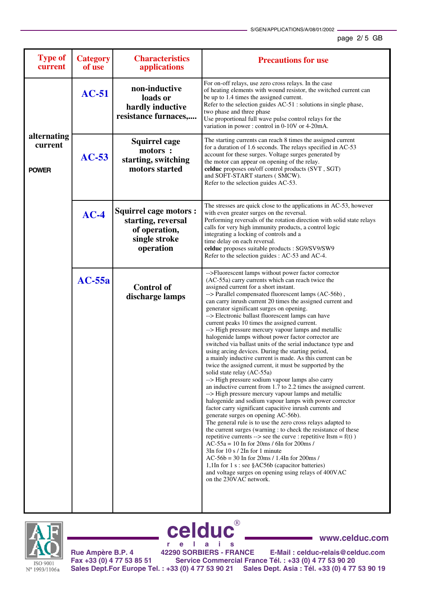## page 2/ 5 GB

| <b>Type of</b><br>current              | <b>Category</b><br>of use | <b>Characteristics</b><br>applications                                                            | <b>Precautions for use</b>                                                                                                                                                                                                                                                                                                                                                                                                                                                                                                                                                                                                                                                                                                                                                                                                                                                                                                                                                                                                                                                                                                                                                                                                                                                                                                                                                                                                                                                                                                                                                                                                                             |
|----------------------------------------|---------------------------|---------------------------------------------------------------------------------------------------|--------------------------------------------------------------------------------------------------------------------------------------------------------------------------------------------------------------------------------------------------------------------------------------------------------------------------------------------------------------------------------------------------------------------------------------------------------------------------------------------------------------------------------------------------------------------------------------------------------------------------------------------------------------------------------------------------------------------------------------------------------------------------------------------------------------------------------------------------------------------------------------------------------------------------------------------------------------------------------------------------------------------------------------------------------------------------------------------------------------------------------------------------------------------------------------------------------------------------------------------------------------------------------------------------------------------------------------------------------------------------------------------------------------------------------------------------------------------------------------------------------------------------------------------------------------------------------------------------------------------------------------------------------|
|                                        | $AC-51$                   | non-inductive<br>loads or<br>hardly inductive<br>resistance furnaces,                             | For on-off relays, use zero cross relays. In the case<br>of heating elements with wound resistor, the switched current can<br>be up to 1.4 times the assigned current.<br>Refer to the selection guides AC-51 : solutions in single phase,<br>two phase and three phase<br>Use proportional full wave pulse control relays for the<br>variation in power: control in 0-10V or 4-20mA.                                                                                                                                                                                                                                                                                                                                                                                                                                                                                                                                                                                                                                                                                                                                                                                                                                                                                                                                                                                                                                                                                                                                                                                                                                                                  |
| alternating<br>current<br><b>POWER</b> | $AC-53$                   | <b>Squirrel cage</b><br>motors :<br>starting, switching<br>motors started                         | The starting currents can reach 8 times the assigned current<br>for a duration of 1.6 seconds. The relays specified in AC-53<br>account for these surges. Voltage surges generated by<br>the motor can appear on opening of the relay.<br>celduc proposes on/off control products (SVT, SGT)<br>and SOFT-START starters (SMCW).<br>Refer to the selection guides AC-53.                                                                                                                                                                                                                                                                                                                                                                                                                                                                                                                                                                                                                                                                                                                                                                                                                                                                                                                                                                                                                                                                                                                                                                                                                                                                                |
|                                        | $AC-4$                    | <b>Squirrel cage motors:</b><br>starting, reversal<br>of operation,<br>single stroke<br>operation | The stresses are quick close to the applications in AC-53, however<br>with even greater surges on the reversal.<br>Performing reversals of the rotation direction with solid state relays<br>calls for very high immunity products, a control logic<br>integrating a locking of controls and a<br>time delay on each reversal.<br>celduc proposes suitable products : SG9/SV9/SW9<br>Refer to the selection guides : AC-53 and AC-4.                                                                                                                                                                                                                                                                                                                                                                                                                                                                                                                                                                                                                                                                                                                                                                                                                                                                                                                                                                                                                                                                                                                                                                                                                   |
|                                        | $AC-55a$                  | <b>Control of</b><br>discharge lamps                                                              | -- > Fluorescent lamps without power factor corrector<br>(AC-55a) carry currents which can reach twice the<br>assigned current for a short instant.<br>--> Parallel compensated fluorescent lamps (AC-56b),<br>can carry inrush current 20 times the assigned current and<br>generator significant surges on opening.<br>--> Electronic ballast fluorescent lamps can have<br>current peaks 10 times the assigned current.<br>--> High pressure mercury vapour lamps and metallic<br>halogenide lamps without power factor corrector are<br>switched via ballast units of the serial inductance type and<br>using arcing devices. During the starting period,<br>a mainly inductive current is made. As this current can be<br>twice the assigned current, it must be supported by the<br>solid state relay (AC-55a)<br>--> High pressure sodium vapour lamps also carry<br>an inductive current from 1.7 to 2.2 times the assigned current.<br>--> High pressure mercury vapour lamps and metallic<br>halogenide and sodium vapour lamps with power corrector<br>factor carry significant capacitive inrush currents and<br>generate surges on opening AC-56b).<br>The general rule is to use the zero cross relays adapted to<br>the current surges (warning : to check the resistance of these<br>repetitive currents --> see the curve : repetitive $Itsm = f(t)$ )<br>$AC-55a = 10$ In for 20ms / 6In for 200ms /<br>$3\ln$ for 10 s / $2\ln$ for 1 minute<br>$AC-56b = 30$ In for 20ms / 1.4In for 200ms /<br>1,1In for 1 s : see §AC56b (capacitor batteries)<br>and voltage surges on opening using relays of 400VAC<br>on the 230VAC network. |



**Rue Ampère B.P. 4 42290 SORBIERS - FRANCE E-Mail : celduc-relais@celduc.com Fax +33 (0) 4 77 53 85 51 Service Commercial France Tél. : +33 (0) 4 77 53 90 20 Sales Dept.For Europe Tel. : +33 (0) 4 77 53 90 21 Sales Dept. Asia : Tél. +33 (0) 4 77 53 90 19 celduc r e l a i s www.celduc.com**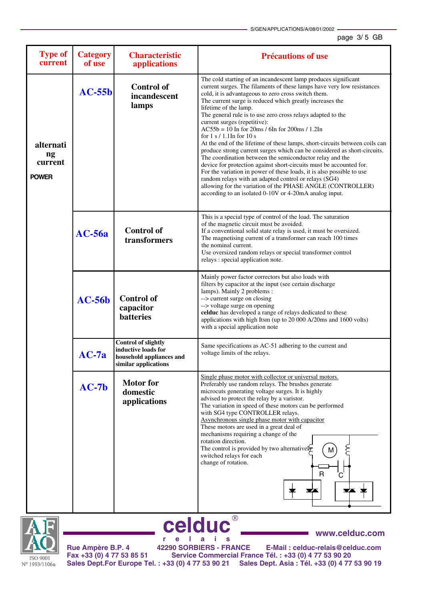**www.celduc.com**

| <b>Type of</b><br>current                  | <b>Category</b><br>of use | <b>Characteristic</b><br>applications                                                                 | <b>Précautions of use</b>                                                                                                                                                                                                                                                                                                                                                                                                                                                                                                                                                                                                                                                                                                                                                                                                                                                                                                                                                                                                        |
|--------------------------------------------|---------------------------|-------------------------------------------------------------------------------------------------------|----------------------------------------------------------------------------------------------------------------------------------------------------------------------------------------------------------------------------------------------------------------------------------------------------------------------------------------------------------------------------------------------------------------------------------------------------------------------------------------------------------------------------------------------------------------------------------------------------------------------------------------------------------------------------------------------------------------------------------------------------------------------------------------------------------------------------------------------------------------------------------------------------------------------------------------------------------------------------------------------------------------------------------|
| alternati<br>ng<br>current<br><b>POWER</b> | $AC-55b$                  | <b>Control of</b><br>incandescent<br>lamps                                                            | The cold starting of an incandescent lamp produces significant<br>current surges. The filaments of these lamps have very low resistances<br>cold, it is advantageous to zero cross switch them.<br>The current surge is reduced which greatly increases the<br>lifetime of the lamp.<br>The general rule is to use zero cross relays adapted to the<br>current surges (repetitive):<br>$AC55b = 10$ In for 20ms / 6In for 200ms / 1.2In<br>for $1 s / 1.1$ In for $10 s$<br>At the end of the lifetime of these lamps, short-circuits between coils can<br>produce strong current surges which can be considered as short-circuits.<br>The coordination between the semiconductor relay and the<br>device for protection against short-circuits must be accounted for.<br>For the variation in power of these loads, it is also possible to use<br>random relays with an adapted control or relays (SG4)<br>allowing for the variation of the PHASE ANGLE (CONTROLLER)<br>according to an isolated 0-10V or 4-20mA analog input. |
|                                            | $AC-56a$                  | <b>Control of</b><br>transformers                                                                     | This is a special type of control of the load. The saturation<br>of the magnetic circuit must be avoided.<br>If a conventional solid state relay is used, it must be oversized.<br>The magnetising current of a transformer can reach 100 times<br>the nominal current.<br>Use oversized random relays or special transformer control<br>relays: special application note.                                                                                                                                                                                                                                                                                                                                                                                                                                                                                                                                                                                                                                                       |
|                                            | $AC-56b$                  | <b>Control of</b><br>capacitor<br><b>batteries</b>                                                    | Mainly power factor correctors but also loads with<br>filters by capacitor at the input (see certain discharge<br>lamps). Mainly 2 problems :<br>--> current surge on closing<br>--> voltage surge on opening<br>celduc has developed a range of relays dedicated to these<br>applications with high Itsm (up to 20 000 A/20ms and 1600 volts)<br>with a special application note                                                                                                                                                                                                                                                                                                                                                                                                                                                                                                                                                                                                                                                |
|                                            | $AC-7a$                   | <b>Control of slightly</b><br>inductive loads for<br>household appliances and<br>similar applications | Same specifications as AC-51 adhering to the current and<br>voltage limits of the relays.                                                                                                                                                                                                                                                                                                                                                                                                                                                                                                                                                                                                                                                                                                                                                                                                                                                                                                                                        |
|                                            | $AC-7b$                   | <b>Motor</b> for<br>domestic<br>applications                                                          | Single phase motor with collector or universal motors.<br>Preferably use random relays. The brushes generate<br>microcuts generating voltage surges. It is highly<br>advised to protect the relay by a varistor.<br>The variation in speed of these motors can be performed<br>with SG4 type CONTROLLER relays.<br>Asynchronous single phase motor with capacitor<br>These motors are used in a great deal of<br>mechanisms requiring a change of the<br>rotation direction.<br>The control is provided by two alternatively<br>switched relays for each<br>change of rotation.<br>R<br>C<br>▼▲ 字<br>¥4                                                                                                                                                                                                                                                                                                                                                                                                                          |



**celduc r e l a i s Rue Ampère B.P. 4 42290 SORBIERS - FRANCE E-Mail : celduc-relais@celduc.com Fax +33 (0) 4 77 53 85 51 Service Commercial France Tél. : +33 (0) 4 77 53 90 20 Sales Dept.For Europe Tel. : +33 (0) 4 77 53 90 21 Sales Dept. Asia : Tél. +33 (0) 4 77 53 90 19**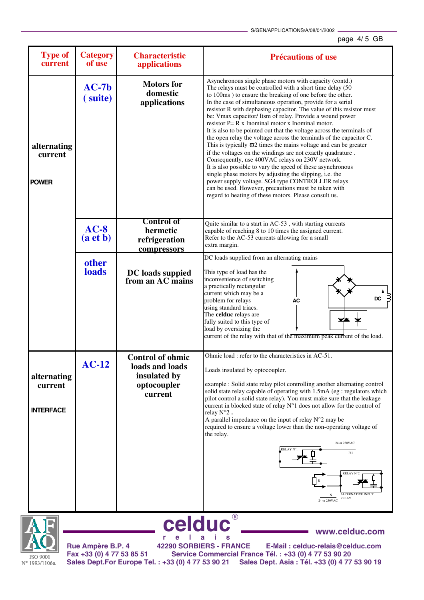S/GEN/APPLICATIONS/A/08/01/2002

## page 4/ 5 GB

| <b>Type of</b><br>current                  | <b>Category</b><br>of use | <b>Characteristic</b><br>applications                                                | <b>Précautions of use</b>                                                                                                                                                                                                                                                                                                                                                                                                                                                                                                                                                                                                                                                                                                                                                                                                                                                                                                                                                                                                                                                                |  |
|--------------------------------------------|---------------------------|--------------------------------------------------------------------------------------|------------------------------------------------------------------------------------------------------------------------------------------------------------------------------------------------------------------------------------------------------------------------------------------------------------------------------------------------------------------------------------------------------------------------------------------------------------------------------------------------------------------------------------------------------------------------------------------------------------------------------------------------------------------------------------------------------------------------------------------------------------------------------------------------------------------------------------------------------------------------------------------------------------------------------------------------------------------------------------------------------------------------------------------------------------------------------------------|--|
| alternating<br>current<br><b>POWER</b>     | $AC-7b$<br>(suite)        | <b>Motors</b> for<br>domestic<br>applications                                        | Asynchronous single phase motors with capacity (contd.)<br>The relays must be controlled with a short time delay (50<br>to 100ms) to ensure the breaking of one before the other.<br>In the case of simultaneous operation, provide for a serial<br>resistor R with dephasing capacitor. The value of this resistor must<br>be: Vmax capacitor/ Itsm of relay. Provide a wound power<br>resistor $P = R x$ Inominal motor x Inominal motor.<br>It is also to be pointed out that the voltage across the terminals of<br>the open relay the voltage across the terminals of the capacitor C.<br>This is typically $\varpi$ 2 times the mains voltage and can be greater<br>if the voltages on the windings are not exactly quadrature.<br>Consequently, use 400VAC relays on 230V network.<br>It is also possible to vary the speed of these asynchronous<br>single phase motors by adjusting the slipping, i.e. the<br>power supply voltage. SG4 type CONTROLLER relays<br>can be used. However, precautions must be taken with<br>regard to heating of these motors. Please consult us. |  |
|                                            | $AC-8$<br>(a <b>et</b> b) | <b>Control of</b><br>hermetic<br>refrigeration<br>compressors                        | Quite similar to a start in AC-53, with starting currents<br>capable of reaching 8 to 10 times the assigned current.<br>Refer to the AC-53 currents allowing for a small<br>extra margin.                                                                                                                                                                                                                                                                                                                                                                                                                                                                                                                                                                                                                                                                                                                                                                                                                                                                                                |  |
|                                            | other<br>loads            | DC loads suppied<br>from an AC mains                                                 | DC loads supplied from an alternating mains<br>This type of load has the<br>inconvenience of switching<br>a practically rectangular<br>current which may be a<br>DC<br>problem for relays<br>AC<br>using standard triacs.<br>The celduc relays are<br>fully suited to this type of<br>load by oversizing the<br>current of the relay with that of the maximum peak current of the load.                                                                                                                                                                                                                                                                                                                                                                                                                                                                                                                                                                                                                                                                                                  |  |
| alternating<br>current<br><b>INTERFACE</b> | $AC-12$                   | <b>Control of ohmic</b><br>loads and loads<br>insulated by<br>optocoupler<br>current | Ohmic load : refer to the characteristics in AC-51.<br>Loads insulated by optocoupler.<br>example : Solid state relay pilot controlling another alternating control<br>solid state relay capable of operating with 1.5mA (eg : regulators which<br>pilot control a solid state relay). You must make sure that the leakage<br>current in blocked state of relay N°1 does not allow for the control of<br>relay N°2.<br>A parallel impedance on the input of relay $N^{\circ}2$ may be<br>required to ensure a voltage lower than the non-operating voltage of<br>the relay.<br>24 or 230VAC<br>RELAY N°<br>PH<br>RELAY N°2<br>ALTERNATIVE INPUT<br><b>RELAY</b><br>24 or 230VAC                                                                                                                                                                                                                                                                                                                                                                                                          |  |
| celduc<br>www.celduc.com                   |                           |                                                                                      |                                                                                                                                                                                                                                                                                                                                                                                                                                                                                                                                                                                                                                                                                                                                                                                                                                                                                                                                                                                                                                                                                          |  |

**ISO 9001** N° 1993/1106a

**www.celduc.com** Ľ, **r e l a i s Rue Ampère B.P. 4 42290 SORBIERS - FRANCE E-Mail : celduc-relais@celduc.com Fax +33 (0) 4 77 53 85 51 Service Commercial France Tél. : +33 (0) 4 77 53 90 20 Sales Dept.For Europe Tel. : +33 (0) 4 77 53 90 21 Sales Dept. Asia : Tél. +33 (0) 4 77 53 90 19**